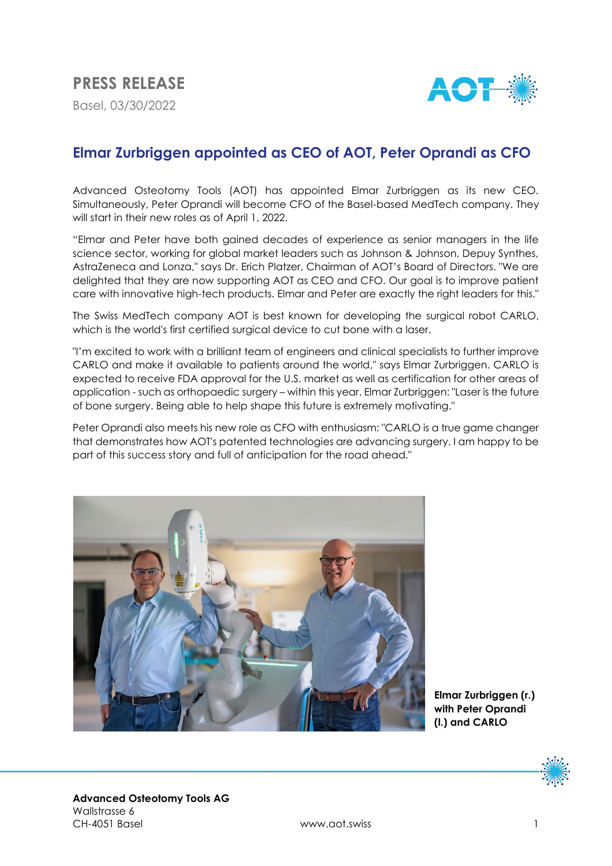

# **Elmar Zurbriggen appointed as CEO of AOT, Peter Oprandi as CFO**

Advanced Osteotomy Tools (AOT) has appointed Elmar Zurbriggen as its new CEO. Simultaneously, Peter Oprandi will become CFO of the Basel-based MedTech company. They will start in their new roles as of April 1, 2022.

"Elmar and Peter have both gained decades of experience as senior managers in the life science sector, working for global market leaders such as Johnson & Johnson, Depuy Synthes, AstraZeneca and Lonza," says Dr. Erich Platzer, Chairman of AOT's Board of Directors. "We are delighted that they are now supporting AOT as CEO and CFO. Our goal is to improve patient care with innovative high-tech products. Elmar and Peter are exactly the right leaders for this."

The Swiss MedTech company AOT is best known for developing the surgical robot CARLO, which is the world's first certified surgical device to cut bone with a laser.

"I'm excited to work with a brilliant team of engineers and clinical specialists to further improve CARLO and make it available to patients around the world," says Elmar Zurbriggen. CARLO is expected to receive FDA approval for the U.S. market as well as certification for other areas of application - such as orthopaedic surgery – within this year. Elmar Zurbriggen: "Laser is the future of bone surgery. Being able to help shape this future is extremely motivating."

Peter Oprandi also meets his new role as CFO with enthusiasm: "CARLO is a true game changer that demonstrates how AOT's patented technologies are advancing surgery. I am happy to be part of this success story and full of anticipation for the road ahead."



**Elmar Zurbriggen (r.) with Peter Oprandi (l.) and CARLO**

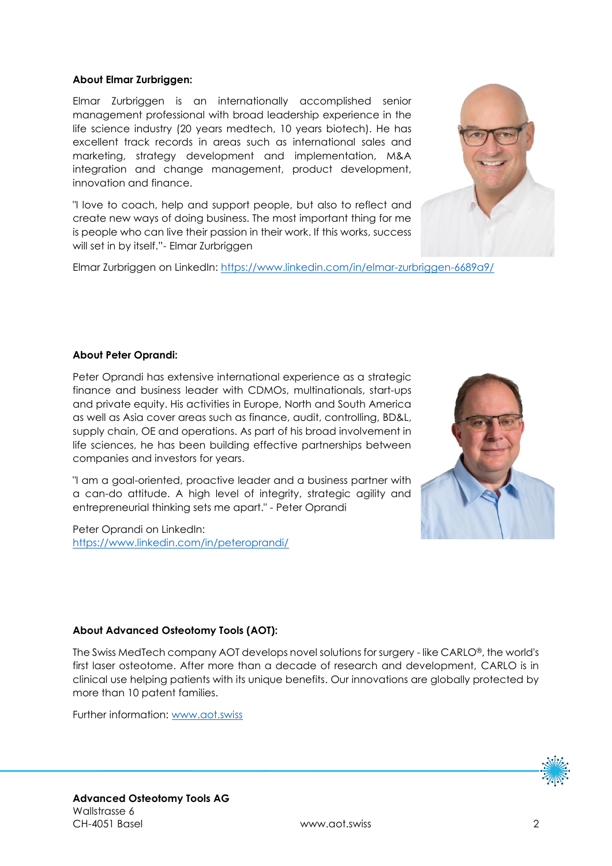### **About Elmar Zurbriggen:**

Elmar Zurbriggen is an internationally accomplished senior management professional with broad leadership experience in the life science industry (20 years medtech, 10 years biotech). He has excellent track records in areas such as international sales and marketing, strategy development and implementation, M&A integration and change management, product development, innovation and finance.

"I love to coach, help and support people, but also to reflect and create new ways of doing business. The most important thing for me is people who can live their passion in their work. If this works, success will set in by itself."- Elmar Zurbriggen

Elmar Zurbriggen on LinkedIn:<https://www.linkedin.com/in/elmar-zurbriggen-6689a9/>



#### **About Peter Oprandi:**

Peter Oprandi has extensive international experience as a strategic finance and business leader with CDMOs, multinationals, start-ups and private equity. His activities in Europe, North and South America as well as Asia cover areas such as finance, audit, controlling, BD&L, supply chain, OE and operations. As part of his broad involvement in life sciences, he has been building effective partnerships between companies and investors for years.

"I am a goal-oriented, proactive leader and a business partner with a can-do attitude. A high level of integrity, strategic agility and entrepreneurial thinking sets me apart." - Peter Oprandi

Peter Oprandi on LinkedIn: <https://www.linkedin.com/in/peteroprandi/>



#### **About Advanced Osteotomy Tools (AOT):**

The Swiss MedTech company AOT develops novel solutions for surgery - like CARLO®, the world's first laser osteotome. After more than a decade of research and development, CARLO is in clinical use helping patients with its unique benefits. Our innovations are globally protected by more than 10 patent families.

Further information: [www.aot.swiss](http://www.aot.swiss/)